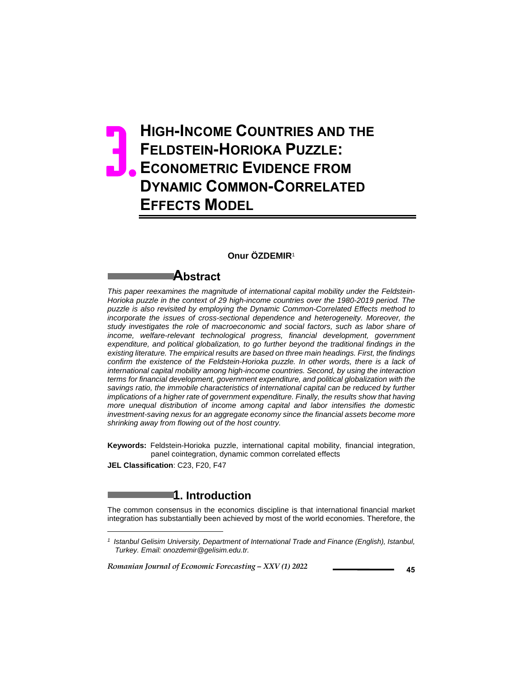# **HIGH-INCOME COUNTRIES AND THE FELDSTEIN-HORIOKA PUZZLE: ECONOMETRIC EVIDENCE FROM DYNAMIC COMMON-CORRELATED EFFECTS MODEL** 3.

### **Onur ÖZDEMIR**<sup>1</sup>

### **Abstract**

*This paper reexamines the magnitude of international capital mobility under the Feldstein-Horioka puzzle in the context of 29 high-income countries over the 1980-2019 period. The puzzle is also revisited by employing the Dynamic Common-Correlated Effects method to incorporate the issues of cross-sectional dependence and heterogeneity. Moreover, the study investigates the role of macroeconomic and social factors, such as labor share of income, welfare-relevant technological progress, financial development, government expenditure, and political globalization, to go further beyond the traditional findings in the existing literature. The empirical results are based on three main headings. First, the findings*  confirm the existence of the Feldstein-Horioka puzzle. In other words, there is a lack of *international capital mobility among high-income countries. Second, by using the interaction terms for financial development, government expenditure, and political globalization with the savings ratio, the immobile characteristics of international capital can be reduced by further implications of a higher rate of government expenditure. Finally, the results show that having more unequal distribution of income among capital and labor intensifies the domestic investment-saving nexus for an aggregate economy since the financial assets become more shrinking away from flowing out of the host country.* 

**Keywords:** Feldstein-Horioka puzzle, international capital mobility, financial integration, panel cointegration, dynamic common correlated effects

**JEL Classification**: C23, F20, F47

l

# **1. Introduction**

The common consensus in the economics discipline is that international financial market integration has substantially been achieved by most of the world economies. Therefore, the

*<sup>1</sup> Istanbul Gelisim University, Department of International Trade and Finance (English), Istanbul, Turkey. Email: onozdemir@gelisim.edu.tr.*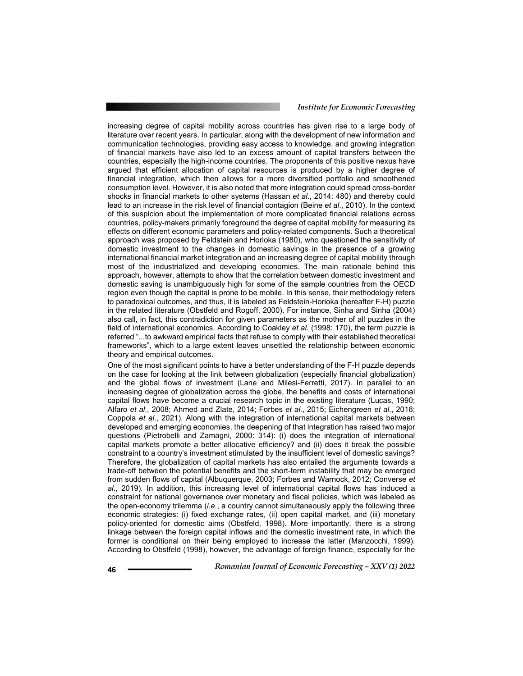increasing degree of capital mobility across countries has given rise to a large body of literature over recent years. In particular, along with the development of new information and communication technologies, providing easy access to knowledge, and growing integration of financial markets have also led to an excess amount of capital transfers between the countries, especially the high-income countries. The proponents of this positive nexus have argued that efficient allocation of capital resources is produced by a higher degree of financial integration, which then allows for a more diversified portfolio and smoothened consumption level. However, it is also noted that more integration could spread cross-border shocks in financial markets to other systems (Hassan *et al*., 2014: 480) and thereby could lead to an increase in the risk level of financial contagion (Beine *et al*., 2010). In the context of this suspicion about the implementation of more complicated financial relations across countries, policy-makers primarily foreground the degree of capital mobility for measuring its effects on different economic parameters and policy-related components. Such a theoretical approach was proposed by Feldstein and Horioka (1980), who questioned the sensitivity of domestic investment to the changes in domestic savings in the presence of a growing international financial market integration and an increasing degree of capital mobility through most of the industrialized and developing economies. The main rationale behind this approach, however, attempts to show that the correlation between domestic investment and domestic saving is unambiguously high for some of the sample countries from the OECD region even though the capital is prone to be mobile. In this sense, their methodology refers to paradoxical outcomes, and thus, it is labeled as Feldstein-Horioka (hereafter F-H) puzzle in the related literature (Obstfeld and Rogoff, 2000). For instance, Sinha and Sinha (2004) also call, in fact, this contradiction for given parameters as the mother of all puzzles in the field of international economics. According to Coakley *et al.* (1998: 170), the term puzzle is referred "...to awkward empirical facts that refuse to comply with their established theoretical frameworks", which to a large extent leaves unsettled the relationship between economic theory and empirical outcomes.

One of the most significant points to have a better understanding of the F-H puzzle depends on the case for looking at the link between globalization (especially financial globalization) and the global flows of investment (Lane and Milesi-Ferretti, 2017). In parallel to an increasing degree of globalization across the globe, the benefits and costs of international capital flows have become a crucial research topic in the existing literature (Lucas, 1990; Alfaro *et al*., 2008; Ahmed and Zlate, 2014; Forbes *et al.*, 2015; Eichengreen *et al*., 2018; Coppola *et al*., 2021). Along with the integration of international capital markets between developed and emerging economies, the deepening of that integration has raised two major questions (Pietrobelli and Zamagni, 2000: 314): (i) does the integration of international capital markets promote a better allocative efficiency? and (ii) does it break the possible constraint to a country's investment stimulated by the insufficient level of domestic savings? Therefore, the globalization of capital markets has also entailed the arguments towards a trade-off between the potential benefits and the short-term instability that may be emerged from sudden flows of capital (Albuquerque, 2003; Forbes and Warnock, 2012; Converse *et al*., 2019). In addition, this increasing level of international capital flows has induced a constraint for national governance over monetary and fiscal policies, which was labeled as the open-economy trilemma (*i.e*., a country cannot simultaneously apply the following three economic strategies: (i) fixed exchange rates, (ii) open capital market, and (iii) monetary policy-oriented for domestic aims (Obstfeld, 1998). More importantly, there is a strong linkage between the foreign capital inflows and the domestic investment rate, in which the former is conditional on their being employed to increase the latter (Manzocchi, 1999). According to Obstfeld (1998), however, the advantage of foreign finance, especially for the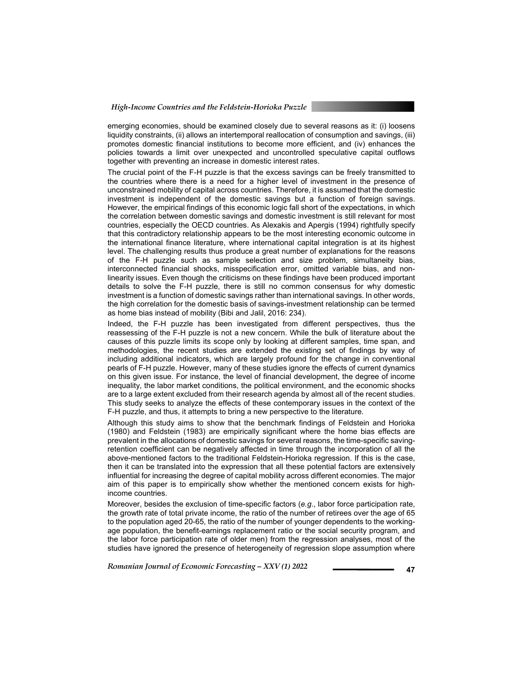emerging economies, should be examined closely due to several reasons as it: (i) loosens liquidity constraints, (ii) allows an intertemporal reallocation of consumption and savings, (iii) promotes domestic financial institutions to become more efficient, and (iv) enhances the policies towards a limit over unexpected and uncontrolled speculative capital outflows together with preventing an increase in domestic interest rates.

The crucial point of the F-H puzzle is that the excess savings can be freely transmitted to the countries where there is a need for a higher level of investment in the presence of unconstrained mobility of capital across countries. Therefore, it is assumed that the domestic investment is independent of the domestic savings but a function of foreign savings. However, the empirical findings of this economic logic fall short of the expectations, in which the correlation between domestic savings and domestic investment is still relevant for most countries, especially the OECD countries. As Alexakis and Apergis (1994) rightfully specify that this contradictory relationship appears to be the most interesting economic outcome in the international finance literature, where international capital integration is at its highest level. The challenging results thus produce a great number of explanations for the reasons of the F-H puzzle such as sample selection and size problem, simultaneity bias, interconnected financial shocks, misspecification error, omitted variable bias, and nonlinearity issues. Even though the criticisms on these findings have been produced important details to solve the F-H puzzle, there is still no common consensus for why domestic investment is a function of domestic savings rather than international savings. In other words, the high correlation for the domestic basis of savings-investment relationship can be termed as home bias instead of mobility (Bibi and Jalil, 2016: 234).

Indeed, the F-H puzzle has been investigated from different perspectives, thus the reassessing of the F-H puzzle is not a new concern. While the bulk of literature about the causes of this puzzle limits its scope only by looking at different samples, time span, and methodologies, the recent studies are extended the existing set of findings by way of including additional indicators, which are largely profound for the change in conventional pearls of F-H puzzle. However, many of these studies ignore the effects of current dynamics on this given issue. For instance, the level of financial development, the degree of income inequality, the labor market conditions, the political environment, and the economic shocks are to a large extent excluded from their research agenda by almost all of the recent studies. This study seeks to analyze the effects of these contemporary issues in the context of the F-H puzzle, and thus, it attempts to bring a new perspective to the literature.

Although this study aims to show that the benchmark findings of Feldstein and Horioka (1980) and Feldstein (1983) are empirically significant where the home bias effects are prevalent in the allocations of domestic savings for several reasons, the time-specific savingretention coefficient can be negatively affected in time through the incorporation of all the above-mentioned factors to the traditional Feldstein-Horioka regression. If this is the case, then it can be translated into the expression that all these potential factors are extensively influential for increasing the degree of capital mobility across different economies. The major aim of this paper is to empirically show whether the mentioned concern exists for highincome countries.

Moreover, besides the exclusion of time-specific factors (*e.g*., labor force participation rate, the growth rate of total private income, the ratio of the number of retirees over the age of 65 to the population aged 20-65, the ratio of the number of younger dependents to the workingage population, the benefit-earnings replacement ratio or the social security program, and the labor force participation rate of older men) from the regression analyses, most of the studies have ignored the presence of heterogeneity of regression slope assumption where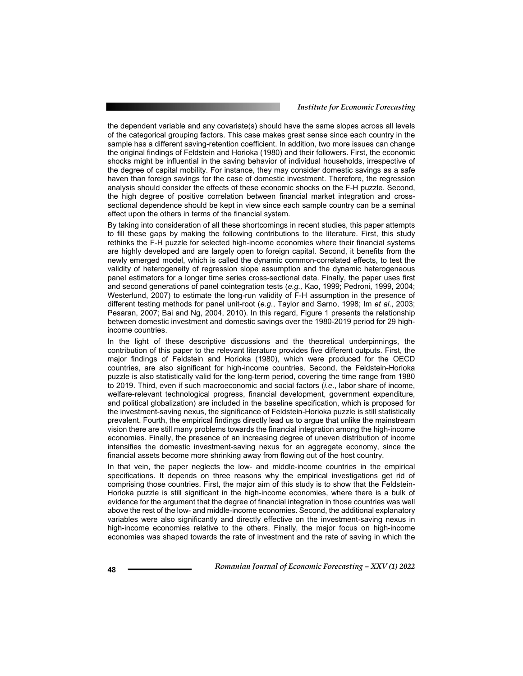the dependent variable and any covariate(s) should have the same slopes across all levels of the categorical grouping factors. This case makes great sense since each country in the sample has a different saving-retention coefficient. In addition, two more issues can change the original findings of Feldstein and Horioka (1980) and their followers. First, the economic shocks might be influential in the saving behavior of individual households, irrespective of the degree of capital mobility. For instance, they may consider domestic savings as a safe haven than foreign savings for the case of domestic investment. Therefore, the regression analysis should consider the effects of these economic shocks on the F-H puzzle. Second, the high degree of positive correlation between financial market integration and crosssectional dependence should be kept in view since each sample country can be a seminal effect upon the others in terms of the financial system.

By taking into consideration of all these shortcomings in recent studies, this paper attempts to fill these gaps by making the following contributions to the literature. First, this study rethinks the F-H puzzle for selected high-income economies where their financial systems are highly developed and are largely open to foreign capital. Second, it benefits from the newly emerged model, which is called the dynamic common-correlated effects, to test the validity of heterogeneity of regression slope assumption and the dynamic heterogeneous panel estimators for a longer time series cross-sectional data. Finally, the paper uses first and second generations of panel cointegration tests (*e.g.,* Kao, 1999; Pedroni, 1999, 2004; Westerlund, 2007) to estimate the long-run validity of F-H assumption in the presence of different testing methods for panel unit-root (*e.g*., Taylor and Sarno, 1998; Im *et al*., 2003; Pesaran, 2007; Bai and Ng, 2004, 2010). In this regard, Figure 1 presents the relationship between domestic investment and domestic savings over the 1980-2019 period for 29 highincome countries.

In the light of these descriptive discussions and the theoretical underpinnings, the contribution of this paper to the relevant literature provides five different outputs. First, the major findings of Feldstein and Horioka (1980), which were produced for the OECD countries, are also significant for high-income countries. Second, the Feldstein-Horioka puzzle is also statistically valid for the long-term period, covering the time range from 1980 to 2019. Third, even if such macroeconomic and social factors (*i.e*., labor share of income, welfare-relevant technological progress, financial development, government expenditure, and political globalization) are included in the baseline specification, which is proposed for the investment-saving nexus, the significance of Feldstein-Horioka puzzle is still statistically prevalent. Fourth, the empirical findings directly lead us to argue that unlike the mainstream vision there are still many problems towards the financial integration among the high-income economies. Finally, the presence of an increasing degree of uneven distribution of income intensifies the domestic investment-saving nexus for an aggregate economy, since the financial assets become more shrinking away from flowing out of the host country.

In that vein, the paper neglects the low- and middle-income countries in the empirical specifications. It depends on three reasons why the empirical investigations get rid of comprising those countries. First, the major aim of this study is to show that the Feldstein-Horioka puzzle is still significant in the high-income economies, where there is a bulk of evidence for the argument that the degree of financial integration in those countries was well above the rest of the low- and middle-income economies. Second, the additional explanatory variables were also significantly and directly effective on the investment-saving nexus in high-income economies relative to the others. Finally, the major focus on high-income economies was shaped towards the rate of investment and the rate of saving in which the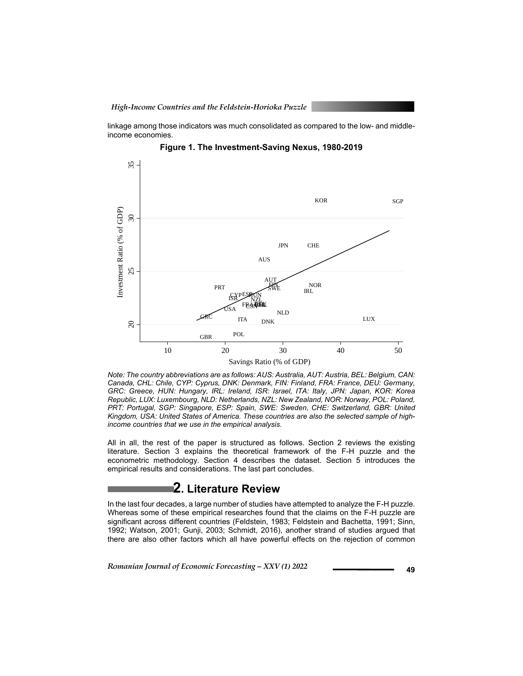linkage among those indicators was much consolidated as compared to the low- and middleincome economies.



**Figure 1. The Investment-Saving Nexus, 1980-2019** 

*Note: The country abbreviations are as follows: AUS: Australia, AUT: Austria, BEL: Belgium, CAN: Canada, CHL: Chile, CYP: Cyprus, DNK: Denmark, FIN: Finland, FRA: France, DEU: Germany, GRC: Greece, HUN: Hungary, IRL: Ireland, ISR: Israel, ITA: Italy, JPN: Japan, KOR: Korea Republic, LUX: Luxembourg, NLD: Netherlands, NZL: New Zealand, NOR: Norway, POL: Poland, PRT: Portugal, SGP: Singapore, ESP: Spain, SWE: Sweden, CHE: Switzerland, GBR: United Kingdom, USA: United States of America. These countries are also the selected sample of highincome countries that we use in the empirical analysis.* 

All in all, the rest of the paper is structured as follows. Section 2 reviews the existing literature. Section 3 explains the theoretical framework of the F-H puzzle and the econometric methodology. Section 4 describes the dataset. Section 5 introduces the empirical results and considerations. The last part concludes.

## **2. Literature Review**

In the last four decades, a large number of studies have attempted to analyze the F-H puzzle. Whereas some of these empirical researches found that the claims on the F-H puzzle are significant across different countries (Feldstein, 1983; Feldstein and Bachetta, 1991; Sinn, 1992; Watson, 2001; Gunji, 2003; Schmidt, 2016), another strand of studies argued that there are also other factors which all have powerful effects on the rejection of common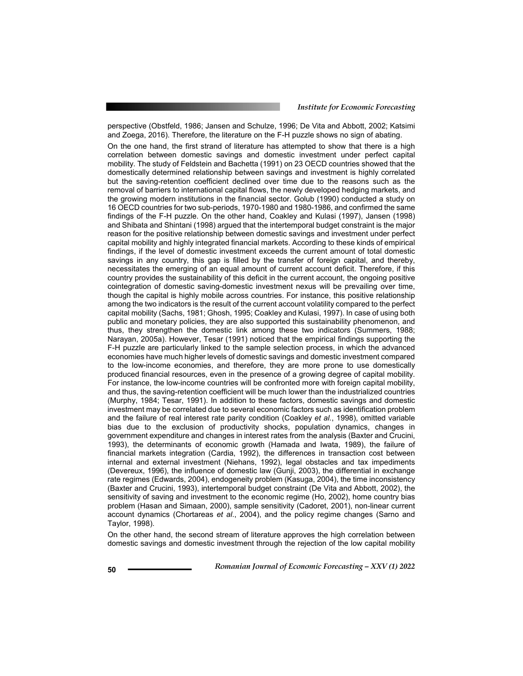perspective (Obstfeld, 1986; Jansen and Schulze, 1996; De Vita and Abbott, 2002; Katsimi and Zoega, 2016). Therefore, the literature on the F-H puzzle shows no sign of abating.

On the one hand, the first strand of literature has attempted to show that there is a high correlation between domestic savings and domestic investment under perfect capital mobility. The study of Feldstein and Bachetta (1991) on 23 OECD countries showed that the domestically determined relationship between savings and investment is highly correlated but the saving-retention coefficient declined over time due to the reasons such as the removal of barriers to international capital flows, the newly developed hedging markets, and the growing modern institutions in the financial sector. Golub (1990) conducted a study on 16 OECD countries for two sub-periods, 1970-1980 and 1980-1986, and confirmed the same findings of the F-H puzzle. On the other hand, Coakley and Kulasi (1997), Jansen (1998) and Shibata and Shintani (1998) argued that the intertemporal budget constraint is the major reason for the positive relationship between domestic savings and investment under perfect capital mobility and highly integrated financial markets. According to these kinds of empirical findings, if the level of domestic investment exceeds the current amount of total domestic savings in any country, this gap is filled by the transfer of foreign capital, and thereby, necessitates the emerging of an equal amount of current account deficit. Therefore, if this country provides the sustainability of this deficit in the current account, the ongoing positive cointegration of domestic saving-domestic investment nexus will be prevailing over time, though the capital is highly mobile across countries. For instance, this positive relationship among the two indicators is the result of the current account volatility compared to the perfect capital mobility (Sachs, 1981; Ghosh, 1995; Coakley and Kulasi, 1997). In case of using both public and monetary policies, they are also supported this sustainability phenomenon, and thus, they strengthen the domestic link among these two indicators (Summers, 1988; Narayan, 2005a). However, Tesar (1991) noticed that the empirical findings supporting the F-H puzzle are particularly linked to the sample selection process, in which the advanced economies have much higher levels of domestic savings and domestic investment compared to the low-income economies, and therefore, they are more prone to use domestically produced financial resources, even in the presence of a growing degree of capital mobility. For instance, the low-income countries will be confronted more with foreign capital mobility, and thus, the saving-retention coefficient will be much lower than the industrialized countries (Murphy, 1984; Tesar, 1991). In addition to these factors, domestic savings and domestic investment may be correlated due to several economic factors such as identification problem and the failure of real interest rate parity condition (Coakley *et al.*, 1998), omitted variable bias due to the exclusion of productivity shocks, population dynamics, changes in government expenditure and changes in interest rates from the analysis (Baxter and Crucini, 1993), the determinants of economic growth (Hamada and Iwata, 1989), the failure of financial markets integration (Cardia, 1992), the differences in transaction cost between internal and external investment (Niehans, 1992), legal obstacles and tax impediments (Devereux, 1996), the influence of domestic law (Gunji, 2003), the differential in exchange rate regimes (Edwards, 2004), endogeneity problem (Kasuga, 2004), the time inconsistency (Baxter and Crucini, 1993), intertemporal budget constraint (De Vita and Abbott, 2002), the sensitivity of saving and investment to the economic regime (Ho, 2002), home country bias problem (Hasan and Simaan, 2000), sample sensitivity (Cadoret, 2001), non-linear current account dynamics (Chortareas *et al*., 2004), and the policy regime changes (Sarno and Taylor, 1998).

On the other hand, the second stream of literature approves the high correlation between domestic savings and domestic investment through the rejection of the low capital mobility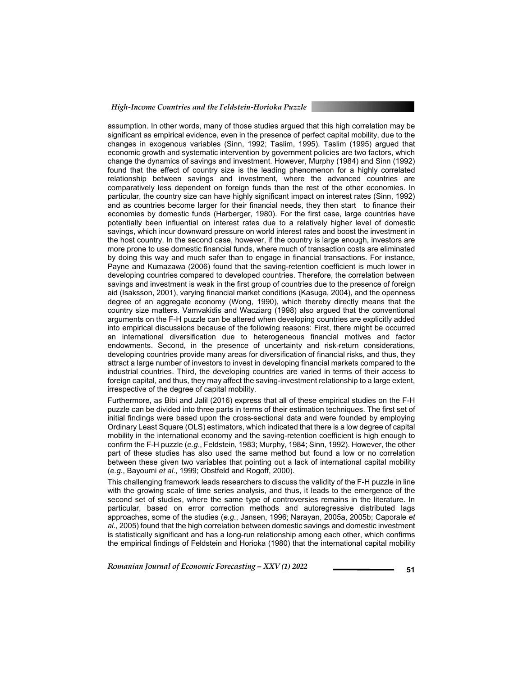assumption. In other words, many of those studies argued that this high correlation may be significant as empirical evidence, even in the presence of perfect capital mobility, due to the changes in exogenous variables (Sinn, 1992; Taslim, 1995). Taslim (1995) argued that economic growth and systematic intervention by government policies are two factors, which change the dynamics of savings and investment. However, Murphy (1984) and Sinn (1992) found that the effect of country size is the leading phenomenon for a highly correlated relationship between savings and investment, where the advanced countries are comparatively less dependent on foreign funds than the rest of the other economies. In particular, the country size can have highly significant impact on interest rates (Sinn, 1992) and as countries become larger for their financial needs, they then start to finance their economies by domestic funds (Harberger, 1980). For the first case, large countries have potentially been influential on interest rates due to a relatively higher level of domestic savings, which incur downward pressure on world interest rates and boost the investment in the host country. In the second case, however, if the country is large enough, investors are more prone to use domestic financial funds, where much of transaction costs are eliminated by doing this way and much safer than to engage in financial transactions. For instance, Payne and Kumazawa (2006) found that the saving-retention coefficient is much lower in developing countries compared to developed countries. Therefore, the correlation between savings and investment is weak in the first group of countries due to the presence of foreign aid (Isaksson, 2001), varying financial market conditions (Kasuga, 2004), and the openness degree of an aggregate economy (Wong, 1990), which thereby directly means that the country size matters. Vamvakidis and Wacziarg (1998) also argued that the conventional arguments on the F-H puzzle can be altered when developing countries are explicitly added into empirical discussions because of the following reasons: First, there might be occurred an international diversification due to heterogeneous financial motives and factor endowments. Second, in the presence of uncertainty and risk-return considerations, developing countries provide many areas for diversification of financial risks, and thus, they attract a large number of investors to invest in developing financial markets compared to the industrial countries. Third, the developing countries are varied in terms of their access to foreign capital, and thus, they may affect the saving-investment relationship to a large extent, irrespective of the degree of capital mobility.

Furthermore, as Bibi and Jalil (2016) express that all of these empirical studies on the F-H puzzle can be divided into three parts in terms of their estimation techniques. The first set of initial findings were based upon the cross-sectional data and were founded by employing Ordinary Least Square (OLS) estimators, which indicated that there is a low degree of capital mobility in the international economy and the saving-retention coefficient is high enough to confirm the F-H puzzle (*e.g*., Feldstein, 1983; Murphy, 1984; Sinn, 1992). However, the other part of these studies has also used the same method but found a low or no correlation between these given two variables that pointing out a lack of international capital mobility (*e.g*., Bayoumi *et al*., 1999; Obstfeld and Rogoff, 2000).

This challenging framework leads researchers to discuss the validity of the F-H puzzle in line with the growing scale of time series analysis, and thus, it leads to the emergence of the second set of studies, where the same type of controversies remains in the literature. In particular, based on error correction methods and autoregressive distributed lags approaches, some of the studies (*e.g*., Jansen, 1996; Narayan, 2005a, 2005b; Caporale *et al*., 2005) found that the high correlation between domestic savings and domestic investment is statistically significant and has a long-run relationship among each other, which confirms the empirical findings of Feldstein and Horioka (1980) that the international capital mobility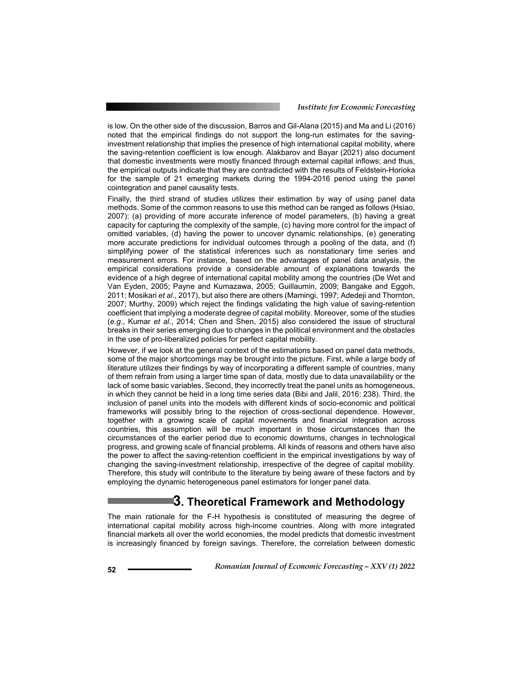is low. On the other side of the discussion, Barros and Gil-Alana (2015) and Ma and Li (2016) noted that the empirical findings do not support the long-run estimates for the savinginvestment relationship that implies the presence of high international capital mobility, where the saving-retention coefficient is low enough. Alakbarov and Bayar (2021) also document that domestic investments were mostly financed through external capital inflows; and thus, the empirical outputs indicate that they are contradicted with the results of Feldstein-Horioka for the sample of 21 emerging markets during the 1994-2016 period using the panel cointegration and panel causality tests.

Finally, the third strand of studies utilizes their estimation by way of using panel data methods. Some of the common reasons to use this method can be ranged as follows (Hsiao, 2007): (a) providing of more accurate inference of model parameters, (b) having a great capacity for capturing the complexity of the sample, (c) having more control for the impact of omitted variables, (d) having the power to uncover dynamic relationships, (e) generating more accurate predictions for individual outcomes through a pooling of the data, and (f) simplifying power of the statistical inferences such as nonstationary time series and measurement errors. For instance, based on the advantages of panel data analysis, the empirical considerations provide a considerable amount of explanations towards the evidence of a high degree of international capital mobility among the countries (De Wet and Van Eyden, 2005; Payne and Kumazawa, 2005; Guillaumin, 2009; Bangake and Eggoh, 2011; Mosikari *et al*., 2017), but also there are others (Mamingi, 1997; Adedeji and Thornton, 2007; Murthy, 2009) which reject the findings validating the high value of saving-retention coefficient that implying a moderate degree of capital mobility. Moreover, some of the studies (*e.g*., Kumar *et al*., 2014; Chen and Shen, 2015) also considered the issue of structural breaks in their series emerging due to changes in the political environment and the obstacles in the use of pro-liberalized policies for perfect capital mobility.

However, if we look at the general context of the estimations based on panel data methods, some of the major shortcomings may be brought into the picture. First, while a large body of literature utilizes their findings by way of incorporating a different sample of countries, many of them refrain from using a larger time span of data, mostly due to data unavailability or the lack of some basic variables. Second, they incorrectly treat the panel units as homogeneous, in which they cannot be held in a long time series data (Bibi and Jalil, 2016: 238). Third, the inclusion of panel units into the models with different kinds of socio-economic and political frameworks will possibly bring to the rejection of cross-sectional dependence. However, together with a growing scale of capital movements and financial integration across countries, this assumption will be much important in those circumstances than the circumstances of the earlier period due to economic downturns, changes in technological progress, and growing scale of financial problems. All kinds of reasons and others have also the power to affect the saving-retention coefficient in the empirical investigations by way of changing the saving-investment relationship, irrespective of the degree of capital mobility. Therefore, this study will contribute to the literature by being aware of these factors and by employing the dynamic heterogeneous panel estimators for longer panel data.

## **3. Theoretical Framework and Methodology**

The main rationale for the F-H hypothesis is constituted of measuring the degree of international capital mobility across high-income countries. Along with more integrated financial markets all over the world economies, the model predicts that domestic investment is increasingly financed by foreign savings. Therefore, the correlation between domestic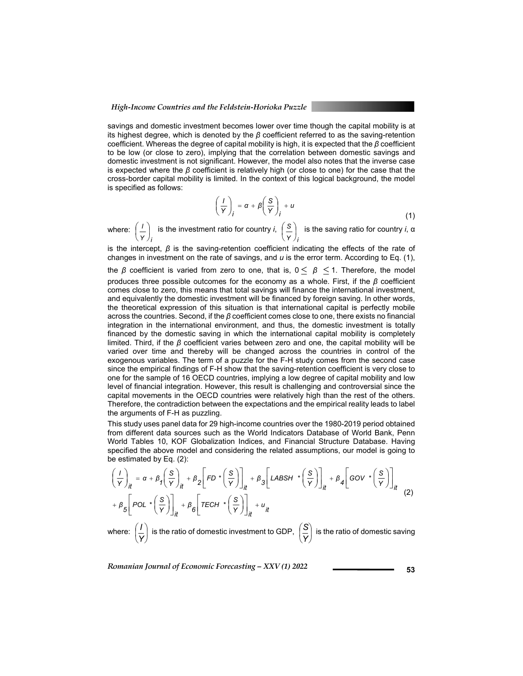savings and domestic investment becomes lower over time though the capital mobility is at its highest degree, which is denoted by the *β* coefficient referred to as the saving-retention coefficient. Whereas the degree of capital mobility is high, it is expected that the *β* coefficient to be low (or close to zero), implying that the correlation between domestic savings and domestic investment is not significant. However, the model also notes that the inverse case is expected where the *β* coefficient is relatively high (or close to one) for the case that the cross-border capital mobility is limited. In the context of this logical background, the model is specified as follows:

$$
\left(\frac{I}{Y}\right)_i = \alpha + \beta \left(\frac{S}{Y}\right)_i + u \tag{1}
$$

where: *Y i*  $\left(\frac{I}{Y}\right)$  $\left(\frac{I}{I}\right)$  is the investment ratio for country *i*, *Y i*  $\left(\frac{\mathsf{s}}{\mathsf{y}}\right)$  $\begin{pmatrix} S \\ - \end{pmatrix}$  is the saving ratio for country *i*, α

is the intercept,  $\beta$  is the saving-retention coefficient indicating the effects of the rate of changes in investment on the rate of savings, and *u* is the error term. According to Eq. (1),

the  $\beta$  coefficient is varied from zero to one, that is,  $0 \leq \beta \leq 1$ . Therefore, the model produces three possible outcomes for the economy as a whole. First, if the *β* coefficient comes close to zero, this means that total savings will finance the international investment, and equivalently the domestic investment will be financed by foreign saving. In other words, the theoretical expression of this situation is that international capital is perfectly mobile across the countries. Second, if the *β* coefficient comes close to one, there exists no financial integration in the international environment, and thus, the domestic investment is totally financed by the domestic saving in which the international capital mobility is completely limited. Third, if the *β* coefficient varies between zero and one, the capital mobility will be varied over time and thereby will be changed across the countries in control of the exogenous variables. The term of a puzzle for the F-H study comes from the second case since the empirical findings of F-H show that the saving-retention coefficient is very close to one for the sample of 16 OECD countries, implying a low degree of capital mobility and low level of financial integration. However, this result is challenging and controversial since the capital movements in the OECD countries were relatively high than the rest of the others. Therefore, the contradiction between the expectations and the empirical reality leads to label the arguments of F-H as puzzling.

This study uses panel data for 29 high-income countries over the 1980-2019 period obtained from different data sources such as the World Indicators Database of World Bank, Penn World Tables 10, KOF Globalization Indices, and Financial Structure Database. Having specified the above model and considering the related assumptions, our model is going to be estimated by Eq. (2):

$$
\left(\frac{I}{Y}\right)_{it} = \alpha + \beta_1 \left(\frac{S}{Y}\right)_{it} + \beta_2 \left[FD * \left(\frac{S}{Y}\right)\right]_{it} + \beta_3 \left[LABSH * \left(\frac{S}{Y}\right)\right]_{it} + \beta_4 \left[ GOV * \left(\frac{S}{Y}\right)\right]_{it}
$$
  
+  $\beta_5 \left[ POL * \left(\frac{S}{Y}\right)\right]_{it} + \beta_6 \left[TECH * \left(\frac{S}{Y}\right)\right]_{it} + u_{it}$  (2)

where:  $\left|\frac{I}{V}\right|$ J  $\left(\frac{I}{\nu}\right)$  $\setminus$ ſ  $\left(\frac{I}{Y}\right)$  is the ratio of domestic investment to GDP,  $\left(\frac{S}{Y}\right)$ J  $\left(\frac{S}{\cdot s}\right)$  $\setminus$ ſ *Y*  $\left\{ \frac{\mathcal{S}}{\mathcal{S}}\right\}$  is the ratio of domestic saving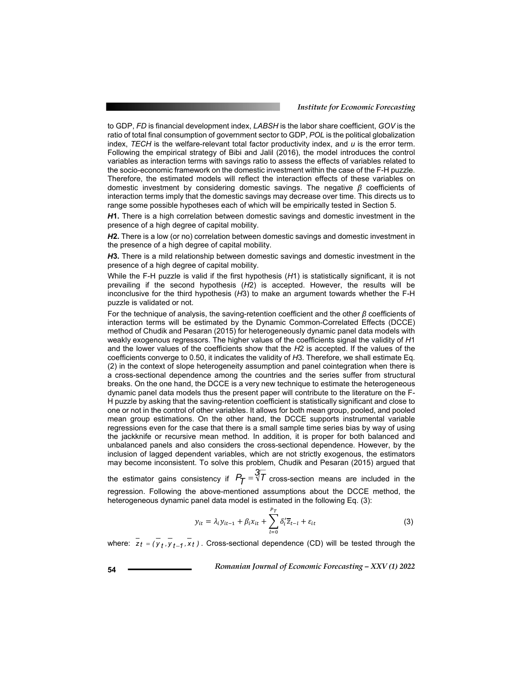to GDP, *FD* is financial development index, *LABSH* is the labor share coefficient, *GOV* is the ratio of total final consumption of government sector to GDP, *POL* is the political globalization index, *TECH* is the welfare-relevant total factor productivity index, and *u* is the error term. Following the empirical strategy of Bibi and Jalil (2016), the model introduces the control variables as interaction terms with savings ratio to assess the effects of variables related to the socio-economic framework on the domestic investment within the case of the F-H puzzle. Therefore, the estimated models will reflect the interaction effects of these variables on domestic investment by considering domestic savings. The negative *β* coefficients of interaction terms imply that the domestic savings may decrease over time. This directs us to range some possible hypotheses each of which will be empirically tested in Section 5.

*H***1.** There is a high correlation between domestic savings and domestic investment in the presence of a high degree of capital mobility.

*H***2.** There is a low (or no) correlation between domestic savings and domestic investment in the presence of a high degree of capital mobility.

*H***3.** There is a mild relationship between domestic savings and domestic investment in the presence of a high degree of capital mobility.

While the F-H puzzle is valid if the first hypothesis (*H*1) is statistically significant, it is not prevailing if the second hypothesis (*H*2) is accepted. However, the results will be inconclusive for the third hypothesis (*H*3) to make an argument towards whether the F-H puzzle is validated or not.

For the technique of analysis, the saving-retention coefficient and the other *β* coefficients of interaction terms will be estimated by the Dynamic Common-Correlated Effects (DCCE) method of Chudik and Pesaran (2015) for heterogeneously dynamic panel data models with weakly exogenous regressors. The higher values of the coefficients signal the validity of *H*1 and the lower values of the coefficients show that the *H*2 is accepted. If the values of the coefficients converge to 0.50, it indicates the validity of *H*3. Therefore, we shall estimate Eq. (2) in the context of slope heterogeneity assumption and panel cointegration when there is a cross-sectional dependence among the countries and the series suffer from structural breaks. On the one hand, the DCCE is a very new technique to estimate the heterogeneous dynamic panel data models thus the present paper will contribute to the literature on the F-H puzzle by asking that the saving-retention coefficient is statistically significant and close to one or not in the control of other variables. It allows for both mean group, pooled, and pooled mean group estimations. On the other hand, the DCCE supports instrumental variable regressions even for the case that there is a small sample time series bias by way of using the jackknife or recursive mean method. In addition, it is proper for both balanced and unbalanced panels and also considers the cross-sectional dependence. However, by the inclusion of lagged dependent variables, which are not strictly exogenous, the estimators may become inconsistent. To solve this problem, Chudik and Pesaran (2015) argued that

the estimator gains consistency if  $P_{\pmb{\mathcal{T}}} = \sqrt[3]{\mathcal{T}}$  cross-section means are included in the regression. Following the above-mentioned assumptions about the DCCE method, the heterogeneous dynamic panel data model is estimated in the following Eq. (3):

$$
y_{it} = \lambda_i y_{it-1} + \beta_i x_{it} + \sum_{l=0}^{P_T} \delta_l' \overline{z}_{t-l} + \varepsilon_{it}
$$
 (3)

where:  $\overline{z_t} = (\overline{y_t}, \overline{y_{t-1}}, \overline{x_t})$ . Cross-sectional dependence (CD) will be tested through the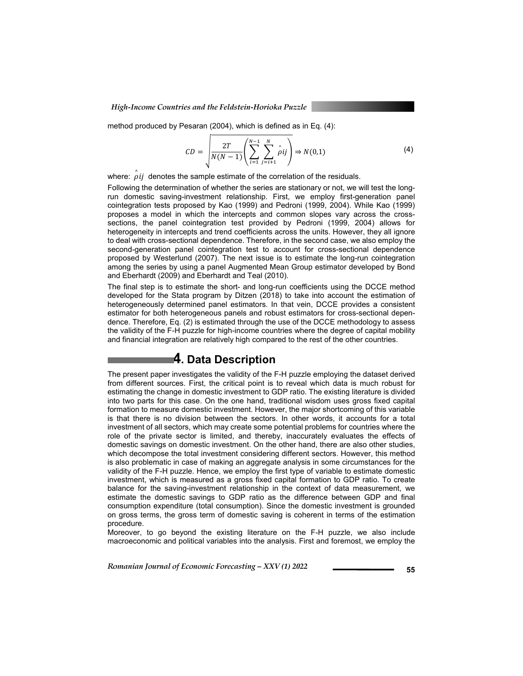method produced by Pesaran (2004), which is defined as in Eq. (4):

$$
CD = \sqrt{\frac{2T}{N(N-1)} \left( \sum_{i=1}^{N-1} \sum_{j=i+1}^{N} \hat{\rho}ij \right)} \Rightarrow N(0,1)
$$
 (4)

where:  $\hat{\rho}$ *ij* denotes the sample estimate of the correlation of the residuals.

Following the determination of whether the series are stationary or not, we will test the longrun domestic saving-investment relationship. First, we employ first-generation panel cointegration tests proposed by Kao (1999) and Pedroni (1999, 2004). While Kao (1999) proposes a model in which the intercepts and common slopes vary across the crosssections, the panel cointegration test provided by Pedroni (1999, 2004) allows for heterogeneity in intercepts and trend coefficients across the units. However, they all ignore to deal with cross-sectional dependence. Therefore, in the second case, we also employ the second-generation panel cointegration test to account for cross-sectional dependence proposed by Westerlund (2007). The next issue is to estimate the long-run cointegration among the series by using a panel Augmented Mean Group estimator developed by Bond and Eberhardt (2009) and Eberhardt and Teal (2010).

The final step is to estimate the short- and long-run coefficients using the DCCE method developed for the Stata program by Ditzen (2018) to take into account the estimation of heterogeneously determined panel estimators. In that vein, DCCE provides a consistent estimator for both heterogeneous panels and robust estimators for cross-sectional dependence. Therefore, Eq. (2) is estimated through the use of the DCCE methodology to assess the validity of the F-H puzzle for high-income countries where the degree of capital mobility and financial integration are relatively high compared to the rest of the other countries.

### **4. Data Description**

The present paper investigates the validity of the F-H puzzle employing the dataset derived from different sources. First, the critical point is to reveal which data is much robust for estimating the change in domestic investment to GDP ratio. The existing literature is divided into two parts for this case. On the one hand, traditional wisdom uses gross fixed capital formation to measure domestic investment. However, the major shortcoming of this variable is that there is no division between the sectors. In other words, it accounts for a total investment of all sectors, which may create some potential problems for countries where the role of the private sector is limited, and thereby, inaccurately evaluates the effects of domestic savings on domestic investment. On the other hand, there are also other studies, which decompose the total investment considering different sectors. However, this method is also problematic in case of making an aggregate analysis in some circumstances for the validity of the F-H puzzle. Hence, we employ the first type of variable to estimate domestic investment, which is measured as a gross fixed capital formation to GDP ratio. To create balance for the saving-investment relationship in the context of data measurement, we estimate the domestic savings to GDP ratio as the difference between GDP and final consumption expenditure (total consumption). Since the domestic investment is grounded on gross terms, the gross term of domestic saving is coherent in terms of the estimation procedure.

Moreover, to go beyond the existing literature on the F-H puzzle, we also include macroeconomic and political variables into the analysis. First and foremost, we employ the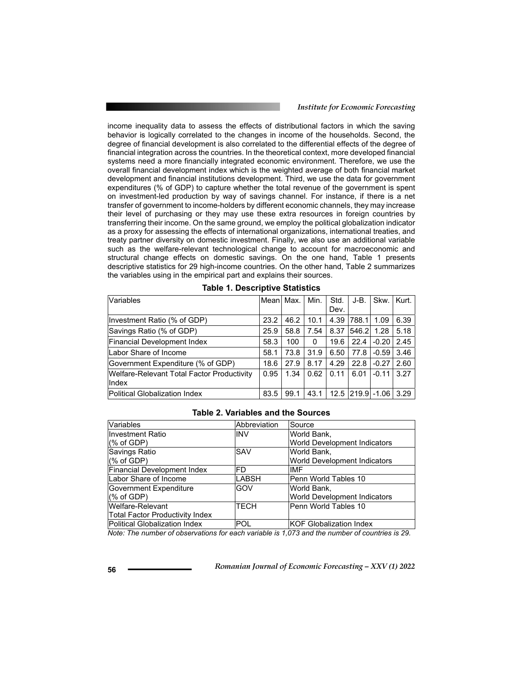income inequality data to assess the effects of distributional factors in which the saving behavior is logically correlated to the changes in income of the households. Second, the degree of financial development is also correlated to the differential effects of the degree of financial integration across the countries. In the theoretical context, more developed financial systems need a more financially integrated economic environment. Therefore, we use the overall financial development index which is the weighted average of both financial market development and financial institutions development. Third, we use the data for government expenditures (% of GDP) to capture whether the total revenue of the government is spent on investment-led production by way of savings channel. For instance, if there is a net transfer of government to income-holders by different economic channels, they may increase their level of purchasing or they may use these extra resources in foreign countries by transferring their income. On the same ground, we employ the political globalization indicator as a proxy for assessing the effects of international organizations, international treaties, and treaty partner diversity on domestic investment. Finally, we also use an additional variable such as the welfare-relevant technological change to account for macroeconomic and structural change effects on domestic savings. On the one hand, Table 1 presents descriptive statistics for 29 high-income countries. On the other hand, Table 2 summarizes the variables using in the empirical part and explains their sources.

| Variables                                           | Mean Max. |      | Min. | Std.<br>Dev. | $J-B.$ | Skw.    | Kurt. |
|-----------------------------------------------------|-----------|------|------|--------------|--------|---------|-------|
| Investment Ratio (% of GDP)                         | 23.2      | 46.2 | 10.1 | 4.39         | 788.1  | 1.09    | 6.39  |
| Savings Ratio (% of GDP)                            | 25.9      | 58.8 | 7.54 | 8.37         | 546.2  | 1.28    | 5.18  |
| <b>Financial Development Index</b>                  | 58.3      | 100  | 0    | 19.6         | 22.4   | $-0.20$ | 2.45  |
| Labor Share of Income                               | 58.1      | 73.8 | 31.9 | 6.50         | 77.8   | $-0.59$ | 3.46  |
| Government Expenditure (% of GDP)                   | 18.6      | 27.9 | 8.17 | 4.29         | 22.8   | $-0.27$ | 2.60  |
| Welfare-Relevant Total Factor Productivity<br>Index | 0.95      | 1.34 | 0.62 | 0.11         | 6.01   | $-0.11$ | 3.27  |
| Political Globalization Index                       | 83.5      | 99.1 | 43.1 | 12.5         | 219.9  | $-1.06$ | 3.29  |

### **Table 2. Variables and the Sources**

| Variables                          | Abbreviation | Source                       |
|------------------------------------|--------------|------------------------------|
| <b>Investment Ratio</b>            | <b>INV</b>   | World Bank,                  |
| (% of GDP)                         |              | World Development Indicators |
| Savings Ratio                      | SAV          | World Bank.                  |
| $%$ of GDP)                        |              | World Development Indicators |
| <b>Financial Development Index</b> | FD.          | <b>IMF</b>                   |
| Labor Share of Income              | LABSH        | Penn World Tables 10         |
| Government Expenditure             | GOV          | World Bank,                  |
| (% of GDP)                         |              | World Development Indicators |
| Welfare-Relevant                   | TECH         | Penn World Tables 10         |
| Total Factor Productivity Index    |              |                              |
| Political Globalization Index      | POL          | KOF Globalization Index      |

*Note: The number of observations for each variable is 1,073 and the number of countries is 29.*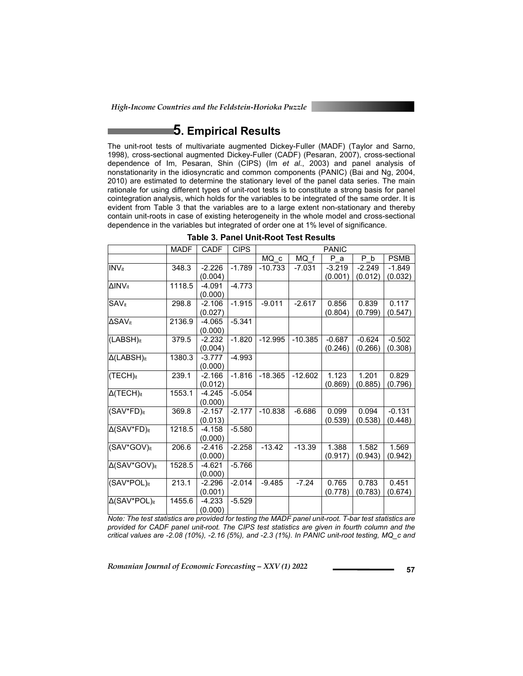# **5. Empirical Results**

The unit-root tests of multivariate augmented Dickey-Fuller (MADF) (Taylor and Sarno, 1998), cross-sectional augmented Dickey-Fuller (CADF) (Pesaran, 2007), cross-sectional dependence of Im, Pesaran, Shin (CIPS) (Im *et al*., 2003) and panel analysis of nonstationarity in the idiosyncratic and common components (PANIC) (Bai and Ng, 2004, 2010) are estimated to determine the stationary level of the panel data series. The main rationale for using different types of unit-root tests is to constitute a strong basis for panel cointegration analysis, which holds for the variables to be integrated of the same order. It is evident from Table 3 that the variables are to a large extent non-stationary and thereby contain unit-roots in case of existing heterogeneity in the whole model and cross-sectional dependence in the variables but integrated of order one at 1% level of significance.

|                                  | <b>MADF</b> | <b>CADF</b>         | <b>CIPS</b> | PANIC     |           |                     |                     |                     |
|----------------------------------|-------------|---------------------|-------------|-----------|-----------|---------------------|---------------------|---------------------|
|                                  |             |                     |             | MQ c      | MQ f      | P a                 | P b                 | <b>PSMB</b>         |
| INV <sub>it</sub>                | 348.3       | $-2.226$<br>(0.004) | $-1.789$    | $-10.733$ | $-7.031$  | $-3.219$<br>(0.001) | $-2.249$<br>(0.012) | $-1.849$<br>(0.032) |
| $\Delta$ INVit                   | 1118.5      | $-4.091$<br>(0.000) | $-4.773$    |           |           |                     |                     |                     |
| $SAV_{it}$                       | 298.8       | $-2.106$<br>(0.027) | $-1.915$    | $-9.011$  | $-2.617$  | 0.856<br>(0.804)    | 0.839<br>(0.799)    | 0.117<br>(0.547)    |
| ΔSAVit                           | 2136.9      | -4.065<br>(0.000)   | $-5.341$    |           |           |                     |                     |                     |
| (LABSH) <sub>it</sub>            | 379.5       | -2.232<br>(0.004)   | $-1.820$    | $-12.995$ | $-10.385$ | $-0.687$<br>(0.246) | $-0.624$<br>(0.266) | $-0.502$<br>(0.308) |
| $\Delta$ (LABSH) <sub>it</sub>   | 1380.3      | -3.777<br>(0.000)   | $-4.993$    |           |           |                     |                     |                     |
| $(TECH)_{it}$                    | 239.1       | $-2.166$<br>(0.012) | $-1.816$    | $-18.365$ | $-12.602$ | 1.123<br>(0.869)    | 1.201<br>(0.885)    | 0.829<br>(0.796)    |
| $\Delta$ (TECH) <sub>it</sub>    | 1553.1      | -4.245<br>(0.000)   | $-5.054$    |           |           |                     |                     |                     |
| $(SAV*FD)_{it}$                  | 369.8       | $-2.157$<br>(0.013) | $-2.177$    | $-10.838$ | $-6.686$  | 0.099<br>(0.539)    | 0.094<br>(0.538)    | $-0.131$<br>(0.448) |
| $\Delta$ (SAV*FD) <sub>it</sub>  | 1218.5      | -4.158<br>(0.000)   | $-5.580$    |           |           |                     |                     |                     |
| (SAV*GOV)it                      | 206.6       | $-2.416$<br>(0.000) | $-2.258$    | $-13.42$  | $-13.39$  | 1.388<br>(0.917)    | 1.582<br>(0.943)    | 1.569<br>(0.942)    |
| Δ(SAV*GOV)it                     | 1528.5      | $-4.621$<br>(0.000) | $-5.766$    |           |           |                     |                     |                     |
| $(SAV*POL)_{it}$                 | 213.1       | $-2.296$<br>(0.001) | $-2.014$    | $-9.485$  | $-7.24$   | 0.765<br>(0.778)    | 0.783<br>(0.783)    | 0.451<br>(0.674)    |
| $\Delta$ (SAV*POL) <sub>it</sub> | 1455.6      | $-4.233$<br>(0.000) | $-5.529$    |           |           |                     |                     |                     |

**Table 3. Panel Unit-Root Test Results** 

*Note: The test statistics are provided for testing the MADF panel unit-root. T-bar test statistics are provided for CADF panel unit-root. The CIPS test statistics are given in fourth column and the critical values are -2.08 (10%), -2.16 (5%), and -2.3 (1%). In PANIC unit-root testing, MQ\_c and*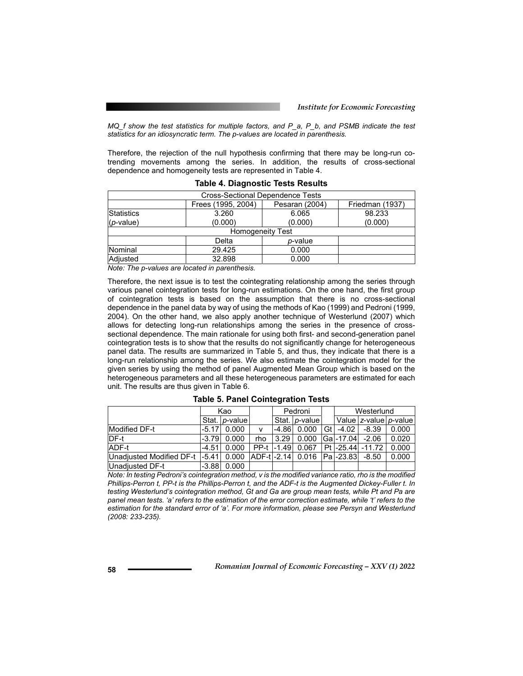*MQ\_f show the test statistics for multiple factors, and P\_a, P\_b, and PSMB indicate the test statistics for an idiosyncratic term. The p-values are located in parenthesis.* 

Therefore, the rejection of the null hypothesis confirming that there may be long-run cotrending movements among the series. In addition, the results of cross-sectional dependence and homogeneity tests are represented in Table 4.

| Cross-Sectional Dependence Tests |                                                         |         |         |  |  |  |  |  |
|----------------------------------|---------------------------------------------------------|---------|---------|--|--|--|--|--|
|                                  |                                                         |         |         |  |  |  |  |  |
|                                  | Frees (1995, 2004)<br>Pesaran (2004)<br>Friedman (1937) |         |         |  |  |  |  |  |
| Statistics                       | 3.260                                                   | 6.065   | 98.233  |  |  |  |  |  |
| $(p-value)$                      | (0.000)                                                 | (0.000) | (0.000) |  |  |  |  |  |
| <b>Homogeneity Test</b>          |                                                         |         |         |  |  |  |  |  |
| Delta<br><i>p</i> -value         |                                                         |         |         |  |  |  |  |  |
| Nominal                          | 29.425                                                  | 0.000   |         |  |  |  |  |  |
| Adjusted                         | 32.898                                                  | 0.000   |         |  |  |  |  |  |

**Table 4. Diagnostic Tests Results** 

*Note: The p-values are located in parenthesis.*

Therefore, the next issue is to test the cointegrating relationship among the series through various panel cointegration tests for long-run estimations. On the one hand, the first group of cointegration tests is based on the assumption that there is no cross-sectional dependence in the panel data by way of using the methods of Kao (1999) and Pedroni (1999, 2004). On the other hand, we also apply another technique of Westerlund (2007) which allows for detecting long-run relationships among the series in the presence of crosssectional dependence. The main rationale for using both first- and second-generation panel cointegration tests is to show that the results do not significantly change for heterogeneous panel data. The results are summarized in Table 5, and thus, they indicate that there is a long-run relationship among the series. We also estimate the cointegration model for the given series by using the method of panel Augmented Mean Group which is based on the heterogeneous parameters and all these heterogeneous parameters are estimated for each unit. The results are thus given in Table 6.

|                                                                         | Kao     |                 |                              | Pedroni |                 |     | Westerlund |                  |                       |
|-------------------------------------------------------------------------|---------|-----------------|------------------------------|---------|-----------------|-----|------------|------------------|-----------------------|
|                                                                         |         | Stat.   p-value |                              |         | Stat.   p-value |     |            |                  | Value z-value p-value |
| <b>Modified DF-t</b>                                                    | $-5.17$ | 0.000           | v                            | $-4.86$ | 0.000           | Gtl | $-4.02$    | $-8.39$          | 0.000                 |
| IDF-t                                                                   | $-3.79$ | 0.000           | rho                          | 13.29   | 0.000           |     |            | IGal-17.04 -2.06 | 0.020                 |
| ADF-t                                                                   | $-4.51$ | 0.000           | $\Gamma$ PP-t $\Gamma$ -1.49 |         | 0.067           |     |            | Pt -25.44 -11.72 | 0.000                 |
| Unadjusted Modified DF-t   -5.41  0.000  ADF-t -2.14  0.016   Pa -23.83 |         |                 |                              |         |                 |     |            | $-8.50$          | 0.000                 |
| Unadjusted DF-t                                                         |         | $-3.88$ 0.000   |                              |         |                 |     |            |                  |                       |

**Table 5. Panel Cointegration Tests** 

*Note: In testing Pedroni's cointegration method, v is the modified variance ratio, rho is the modified Phillips-Perron t, PP-t is the Phillips-Perron t, and the ADF-t is the Augmented Dickey-Fuller t. In testing Westerlund's cointegration method, Gt and Ga are group mean tests, while Pt and Pa are panel mean tests. 'a' refers to the estimation of the error correction estimate, while 't' refers to the estimation for the standard error of 'a'. For more information, please see Persyn and Westerlund (2008: 233-235).*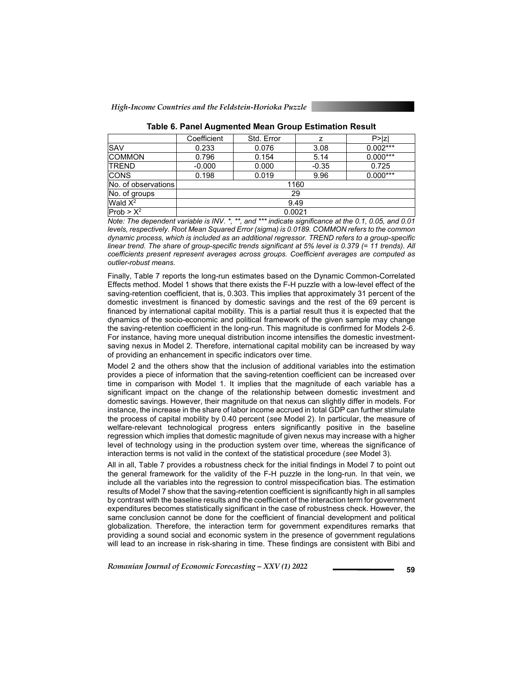|                     | Coefficient | Std. Error |         | P >  Z     |  |  |  |  |  |  |
|---------------------|-------------|------------|---------|------------|--|--|--|--|--|--|
| <b>SAV</b>          | 0.233       | 0.076      | 3.08    | $0.002***$ |  |  |  |  |  |  |
| <b>COMMON</b>       | 0.796       | 0.154      | 5.14    | $0.000***$ |  |  |  |  |  |  |
| <b>ITREND</b>       | $-0.000$    | 0.000      | $-0.35$ | 0.725      |  |  |  |  |  |  |
| <b>CONS</b>         | 0.198       | 0.019      | 9.96    | $0.000***$ |  |  |  |  |  |  |
| No. of observations |             | 1160       |         |            |  |  |  |  |  |  |
| No. of groups       |             | 29         |         |            |  |  |  |  |  |  |
| Wald $X^2$          | 9.49        |            |         |            |  |  |  |  |  |  |
| $Prob > X^2$        | 0.0021      |            |         |            |  |  |  |  |  |  |

*Note: The dependent variable is INV. \*, \*\*, and \*\*\* indicate significance at the 0.1, 0.05, and 0.01 levels, respectively. Root Mean Squared Error (sigma) is 0.0189. COMMON refers to the common dynamic process, which is included as an additional regressor. TREND refers to a group-specific linear trend. The share of group-specific trends significant at 5% level is 0.379 (= 11 trends). All coefficients present represent averages across groups. Coefficient averages are computed as outlier-robust means.* 

Finally, Table 7 reports the long-run estimates based on the Dynamic Common-Correlated Effects method. Model 1 shows that there exists the F-H puzzle with a low-level effect of the saving-retention coefficient, that is, 0.303. This implies that approximately 31 percent of the domestic investment is financed by domestic savings and the rest of the 69 percent is financed by international capital mobility. This is a partial result thus it is expected that the dynamics of the socio-economic and political framework of the given sample may change the saving-retention coefficient in the long-run. This magnitude is confirmed for Models 2-6. For instance, having more unequal distribution income intensifies the domestic investmentsaving nexus in Model 2. Therefore, international capital mobility can be increased by way of providing an enhancement in specific indicators over time.

Model 2 and the others show that the inclusion of additional variables into the estimation provides a piece of information that the saving-retention coefficient can be increased over time in comparison with Model 1. It implies that the magnitude of each variable has a significant impact on the change of the relationship between domestic investment and domestic savings. However, their magnitude on that nexus can slightly differ in models. For instance, the increase in the share of labor income accrued in total GDP can further stimulate the process of capital mobility by 0.40 percent (*see* Model 2). In particular, the measure of welfare-relevant technological progress enters significantly positive in the baseline regression which implies that domestic magnitude of given nexus may increase with a higher level of technology using in the production system over time, whereas the significance of interaction terms is not valid in the context of the statistical procedure (*see* Model 3).

All in all, Table 7 provides a robustness check for the initial findings in Model 7 to point out the general framework for the validity of the F-H puzzle in the long-run. In that vein, we include all the variables into the regression to control misspecification bias. The estimation results of Model 7 show that the saving-retention coefficient is significantly high in all samples by contrast with the baseline results and the coefficient of the interaction term for government expenditures becomes statistically significant in the case of robustness check. However, the same conclusion cannot be done for the coefficient of financial development and political globalization. Therefore, the interaction term for government expenditures remarks that providing a sound social and economic system in the presence of government regulations will lead to an increase in risk-sharing in time. These findings are consistent with Bibi and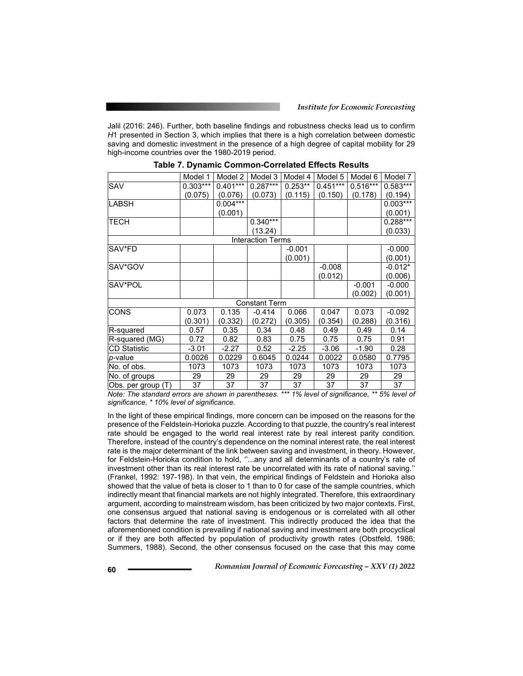Jalil (2016: 246). Further, both baseline findings and robustness checks lead us to confirm *H*1 presented in Section 3, which implies that there is a high correlation between domestic saving and domestic investment in the presence of a high degree of capital mobility for 29 high-income countries over the 1980-2019 period.

|                     | Model 1    | Model 2    | Model 3                  | Model 4    | Model 5    | Model 6    | Model 7    |
|---------------------|------------|------------|--------------------------|------------|------------|------------|------------|
| SAV                 | $0.303***$ | $0.401***$ | $0.287***$               | $0.253***$ | $0.451***$ | $0.516***$ | $0.583***$ |
|                     | (0.075)    | (0.076)    | (0.073)                  | (0.115)    | (0.150)    | (0.178)    | (0.194)    |
| <b>LABSH</b>        |            | $0.004***$ |                          |            |            |            | $0.003***$ |
|                     |            | (0.001)    |                          |            |            |            | (0.001)    |
| <b>TECH</b>         |            |            | $0.340***$               |            |            |            | $0.288***$ |
|                     |            |            | (13.24)                  |            |            |            | (0.033)    |
|                     |            |            | <b>Interaction Terms</b> |            |            |            |            |
| SAV*FD              |            |            |                          | $-0.001$   |            |            | $-0.000$   |
|                     |            |            |                          | (0.001)    |            |            | (0.001)    |
| SAV*GOV             |            |            |                          |            | $-0.008$   |            | $-0.012*$  |
|                     |            |            |                          |            | (0.012)    |            | (0.006)    |
| SAV*POL             |            |            |                          |            |            | $-0.001$   | $-0.000$   |
|                     |            |            |                          |            |            | (0.002)    | (0.001)    |
|                     |            |            | <b>Constant Term</b>     |            |            |            |            |
| <b>CONS</b>         | 0.073      | 0.135      | $-0.414$                 | 0.066      | 0.047      | 0.073      | $-0.092$   |
|                     | (0.301)    | (0.332)    | (0.272)                  | (0.305)    | (0.354)    | (0.288)    | (0.316)    |
| R-squared           | 0.57       | 0.35       | 0.34                     | 0.48       | 0.49       | 0.49       | 0.14       |
| R-squared (MG)      | 0.72       | 0.82       | 0.83                     | 0.75       | 0.75       | 0.75       | 0.91       |
| <b>CD Statistic</b> | $-3.01$    | $-2.27$    | 0.52                     | $-2.25$    | $-3.06$    | $-1.90$    | 0.28       |
| p-value             | 0.0026     | 0.0229     | 0.6045                   | 0.0244     | 0.0022     | 0.0580     | 0.7795     |
| No. of obs.         | 1073       | 1073       | 1073                     | 1073       | 1073       | 1073       | 1073       |
| No. of groups       | 29         | 29         | 29                       | 29         | 29         | 29         | 29         |
| Obs. per group (T)  | 37         | 37         | 37                       | 37         | 37         | 37         | 37         |

*Note: The standard errors are shown in parentheses. \*\*\* 1% level of significance, \*\* 5% level of significance, \* 10% level of significance.* 

In the light of these empirical findings, more concern can be imposed on the reasons for the presence of the Feldstein-Horioka puzzle. According to that puzzle, the country's real interest rate should be engaged to the world real interest rate by real interest parity condition. Therefore, instead of the country's dependence on the nominal interest rate, the real interest rate is the major determinant of the link between saving and investment, in theory. However, for Feldstein-Horioka condition to hold, ''...any and all determinants of a country's rate of investment other than its real interest rate be uncorrelated with its rate of national saving.'' (Frankel, 1992: 197-198). In that vein, the empirical findings of Feldstein and Horioka also showed that the value of beta is closer to 1 than to 0 for case of the sample countries, which indirectly meant that financial markets are not highly integrated. Therefore, this extraordinary argument, according to mainstream wisdom, has been criticized by two major contexts. First, one consensus argued that national saving is endogenous or is correlated with all other factors that determine the rate of investment. This indirectly produced the idea that the aforementioned condition is prevailing if national saving and investment are both procyclical or if they are both affected by population of productivity growth rates (Obstfeld, 1986; Summers, 1988). Second, the other consensus focused on the case that this may come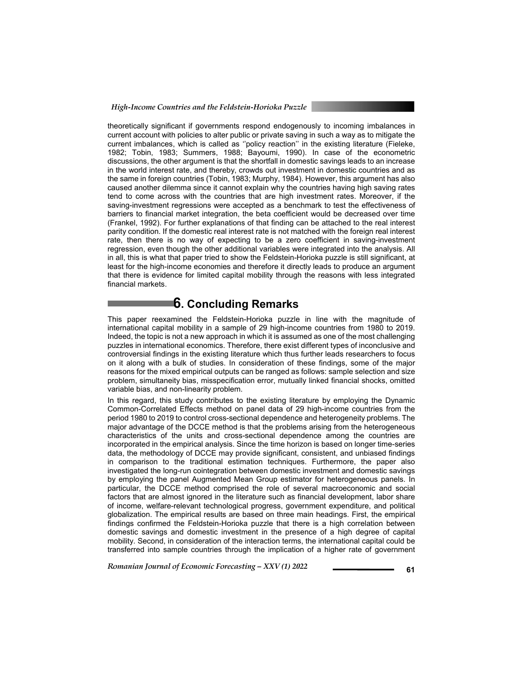theoretically significant if governments respond endogenously to incoming imbalances in current account with policies to alter public or private saving in such a way as to mitigate the current imbalances, which is called as ''policy reaction'' in the existing literature (Fieleke, 1982; Tobin, 1983; Summers, 1988; Bayoumi, 1990). In case of the econometric discussions, the other argument is that the shortfall in domestic savings leads to an increase in the world interest rate, and thereby, crowds out investment in domestic countries and as the same in foreign countries (Tobin, 1983; Murphy, 1984). However, this argument has also caused another dilemma since it cannot explain why the countries having high saving rates tend to come across with the countries that are high investment rates. Moreover, if the saving-investment regressions were accepted as a benchmark to test the effectiveness of barriers to financial market integration, the beta coefficient would be decreased over time (Frankel, 1992). For further explanations of that finding can be attached to the real interest parity condition. If the domestic real interest rate is not matched with the foreign real interest rate, then there is no way of expecting to be a zero coefficient in saving-investment regression, even though the other additional variables were integrated into the analysis. All in all, this is what that paper tried to show the Feldstein-Horioka puzzle is still significant, at least for the high-income economies and therefore it directly leads to produce an argument that there is evidence for limited capital mobility through the reasons with less integrated financial markets.

# **6. Concluding Remarks**

This paper reexamined the Feldstein-Horioka puzzle in line with the magnitude of international capital mobility in a sample of 29 high-income countries from 1980 to 2019. Indeed, the topic is not a new approach in which it is assumed as one of the most challenging puzzles in international economics. Therefore, there exist different types of inconclusive and controversial findings in the existing literature which thus further leads researchers to focus on it along with a bulk of studies. In consideration of these findings, some of the major reasons for the mixed empirical outputs can be ranged as follows: sample selection and size problem, simultaneity bias, misspecification error, mutually linked financial shocks, omitted variable bias, and non-linearity problem.

In this regard, this study contributes to the existing literature by employing the Dynamic Common-Correlated Effects method on panel data of 29 high-income countries from the period 1980 to 2019 to control cross-sectional dependence and heterogeneity problems. The major advantage of the DCCE method is that the problems arising from the heterogeneous characteristics of the units and cross-sectional dependence among the countries are incorporated in the empirical analysis. Since the time horizon is based on longer time-series data, the methodology of DCCE may provide significant, consistent, and unbiased findings in comparison to the traditional estimation techniques. Furthermore, the paper also investigated the long-run cointegration between domestic investment and domestic savings by employing the panel Augmented Mean Group estimator for heterogeneous panels. In particular, the DCCE method comprised the role of several macroeconomic and social factors that are almost ignored in the literature such as financial development, labor share of income, welfare-relevant technological progress, government expenditure, and political globalization. The empirical results are based on three main headings. First, the empirical findings confirmed the Feldstein-Horioka puzzle that there is a high correlation between domestic savings and domestic investment in the presence of a high degree of capital mobility. Second, in consideration of the interaction terms, the international capital could be transferred into sample countries through the implication of a higher rate of government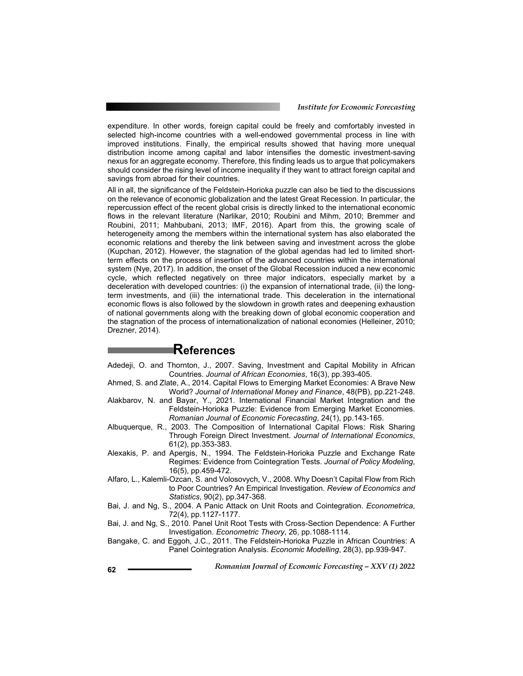expenditure. In other words, foreign capital could be freely and comfortably invested in selected high-income countries with a well-endowed governmental process in line with improved institutions. Finally, the empirical results showed that having more unequal distribution income among capital and labor intensifies the domestic investment-saving nexus for an aggregate economy. Therefore, this finding leads us to argue that policymakers should consider the rising level of income inequality if they want to attract foreign capital and savings from abroad for their countries.

All in all, the significance of the Feldstein-Horioka puzzle can also be tied to the discussions on the relevance of economic globalization and the latest Great Recession. In particular, the repercussion effect of the recent global crisis is directly linked to the international economic flows in the relevant literature (Narlikar, 2010; Roubini and Mihm, 2010; Bremmer and Roubini, 2011; Mahbubani, 2013; IMF, 2016). Apart from this, the growing scale of heterogeneity among the members within the international system has also elaborated the economic relations and thereby the link between saving and investment across the globe (Kupchan, 2012). However, the stagnation of the global agendas had led to limited shortterm effects on the process of insertion of the advanced countries within the international system (Nye, 2017). In addition, the onset of the Global Recession induced a new economic cycle, which reflected negatively on three major indicators, especially market by a deceleration with developed countries: (i) the expansion of international trade, (ii) the longterm investments, and (iii) the international trade. This deceleration in the international economic flows is also followed by the slowdown in growth rates and deepening exhaustion of national governments along with the breaking down of global economic cooperation and the stagnation of the process of internationalization of national economies (Helleiner, 2010; Drezner, 2014).

### **References**

- Adedeji, O. and Thornton, J., 2007. Saving, Investment and Capital Mobility in African Countries. *Journal of African Economies*, 16(3), pp.393-405.
- Ahmed, S. and Zlate, A., 2014. Capital Flows to Emerging Market Economies: A Brave New World? *Journal of International Money and Finance*, 48(PB), pp.221-248.
- Alakbarov, N. and Bayar, Y., 2021. International Financial Market Integration and the Feldstein-Horioka Puzzle: Evidence from Emerging Market Economies. *Romanian Journal of Economic Forecasting*, 24(1), pp.143-165.
- Albuquerque, R., 2003. The Composition of International Capital Flows: Risk Sharing Through Foreign Direct Investment. *Journal of International Economics*, 61(2), pp.353-383.
- Alexakis, P. and Apergis, N., 1994. The Feldstein-Horioka Puzzle and Exchange Rate Regimes: Evidence from Cointegration Tests. *Journal of Policy Modeling*, 16(5), pp.459-472.
- Alfaro, L., Kalemli-Ozcan, S. and Volosovych, V., 2008. Why Doesn't Capital Flow from Rich to Poor Countries? An Empirical Investigation. *Review of Economics and Statistics*, 90(2), pp.347-368.
- Bai, J. and Ng, S., 2004. A Panic Attack on Unit Roots and Cointegration. *Econometrica*, 72(4), pp.1127-1177.
- Bai, J. and Ng, S., 2010. Panel Unit Root Tests with Cross-Section Dependence: A Further Investigation. *Econometric Theory*, 26, pp.1088-1114.
- Bangake, C. and Eggoh, J.C., 2011. The Feldstein-Horioka Puzzle in African Countries: A Panel Cointegration Analysis. *Economic Modelling*, 28(3), pp.939-947.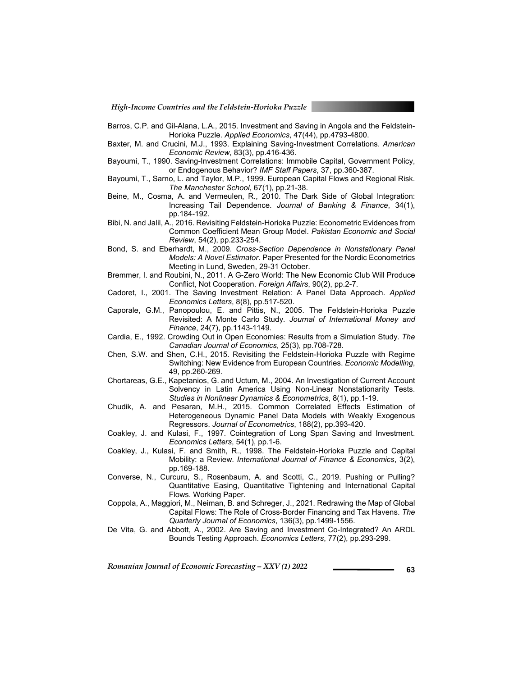- Barros, C.P. and Gil-Alana, L.A., 2015. Investment and Saving in Angola and the Feldstein-Horioka Puzzle. *Applied Economics*, 47(44), pp.4793-4800.
- Baxter, M. and Crucini, M.J., 1993. Explaining Saving-Investment Correlations. *American Economic Review*, 83(3), pp.416-436.
- Bayoumi, T., 1990. Saving-Investment Correlations: Immobile Capital, Government Policy, or Endogenous Behavior? *IMF Staff Papers*, 37, pp.360-387.
- Bayoumi, T., Sarno, L. and Taylor, M.P., 1999. European Capital Flows and Regional Risk. *The Manchester School*, 67(1), pp.21-38.
- Beine, M., Cosma, A. and Vermeulen, R., 2010. The Dark Side of Global Integration: Increasing Tail Dependence. *Journal of Banking & Finance*, 34(1), pp.184-192.
- Bibi, N. and Jalil, A., 2016. Revisiting Feldstein-Horioka Puzzle: Econometric Evidences from Common Coefficient Mean Group Model. *Pakistan Economic and Social Review*, 54(2), pp.233-254.
- Bond, S. and Eberhardt, M., 2009. *Cross-Section Dependence in Nonstationary Panel Models: A Novel Estimator*. Paper Presented for the Nordic Econometrics Meeting in Lund, Sweden, 29-31 October.
- Bremmer, I. and Roubini, N., 2011. A G-Zero World: The New Economic Club Will Produce Conflict, Not Cooperation. *Foreign Affairs*, 90(2), pp.2-7.
- Cadoret, I., 2001. The Saving Investment Relation: A Panel Data Approach. *Applied Economics Letters*, 8(8), pp.517-520.
- Caporale, G.M., Panopoulou, E. and Pittis, N., 2005. The Feldstein-Horioka Puzzle Revisited: A Monte Carlo Study. *Journal of International Money and Finance*, 24(7), pp.1143-1149.
- Cardia, E., 1992. Crowding Out in Open Economies: Results from a Simulation Study. *The Canadian Journal of Economics*, 25(3), pp.708-728.
- Chen, S.W. and Shen, C.H., 2015. Revisiting the Feldstein-Horioka Puzzle with Regime Switching: New Evidence from European Countries. *Economic Modelling*, 49, pp.260-269.
- Chortareas, G.E., Kapetanios, G. and Uctum, M., 2004. An Investigation of Current Account Solvency in Latin America Using Non-Linear Nonstationarity Tests. *Studies in Nonlinear Dynamics & Econometrics*, 8(1), pp.1-19.
- Chudik, A. and Pesaran, M.H., 2015. Common Correlated Effects Estimation of Heterogeneous Dynamic Panel Data Models with Weakly Exogenous Regressors. *Journal of Econometrics*, 188(2), pp.393-420.
- Coakley, J. and Kulasi, F., 1997. Cointegration of Long Span Saving and Investment. *Economics Letters*, 54(1), pp.1-6.
- Coakley, J., Kulasi, F. and Smith, R., 1998. The Feldstein-Horioka Puzzle and Capital Mobility: a Review. *International Journal of Finance & Economics*, 3(2), pp.169-188.
- Converse, N., Curcuru, S., Rosenbaum, A. and Scotti, C., 2019. Pushing or Pulling? Quantitative Easing, Quantitative Tightening and International Capital Flows. Working Paper.
- Coppola, A., Maggiori, M., Neiman, B. and Schreger, J., 2021. Redrawing the Map of Global Capital Flows: The Role of Cross-Border Financing and Tax Havens. *The Quarterly Journal of Economics*, 136(3), pp.1499-1556.
- De Vita, G. and Abbott, A., 2002. Are Saving and Investment Co-Integrated? An ARDL Bounds Testing Approach. *Economics Letters*, 77(2), pp.293-299.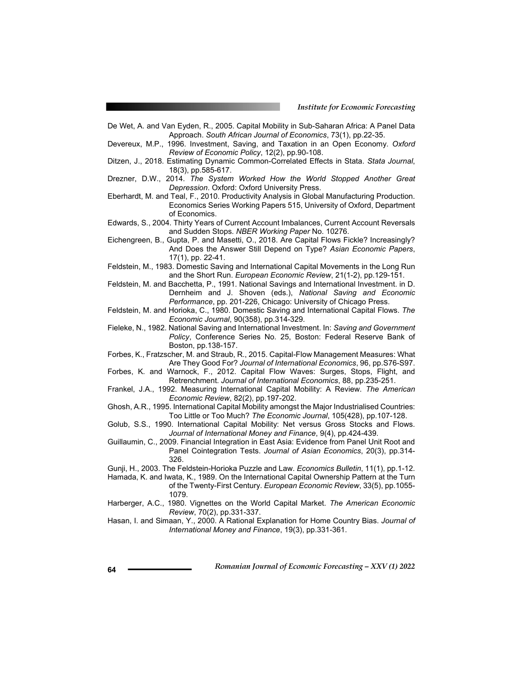De Wet, A. and Van Eyden, R., 2005. Capital Mobility in Sub-Saharan Africa: A Panel Data Approach. *South African Journal of Economics*, 73(1), pp.22-35.

- Devereux, M.P., 1996. Investment, Saving, and Taxation in an Open Economy. *Oxford Review of Economic Policy*, 12(2), pp.90-108.
- Ditzen, J., 2018. Estimating Dynamic Common-Correlated Effects in Stata. *Stata Journal*, 18(3), pp.585-617.
- Drezner, D.W., 2014. *The System Worked How the World Stopped Another Great Depression*. Oxford: Oxford University Press.
- Eberhardt, M. and Teal, F., 2010. Productivity Analysis in Global Manufacturing Production. Economics Series Working Papers 515, University of Oxford, Department of Economics.
- Edwards, S., 2004. Thirty Years of Current Account Imbalances, Current Account Reversals and Sudden Stops. *NBER Working Paper* No. 10276.
- Eichengreen, B., Gupta, P. and Masetti, O., 2018. Are Capital Flows Fickle? Increasingly? And Does the Answer Still Depend on Type? *Asian Economic Papers*, 17(1), pp. 22-41.
- Feldstein, M., 1983. Domestic Saving and International Capital Movements in the Long Run and the Short Run. *European Economic Review*, 21(1-2), pp.129-151.
- Feldstein, M. and Bacchetta, P., 1991. National Savings and International Investment. in D. Dernheim and J. Shoven (eds.), *National Saving and Economic Performance*, pp. 201-226, Chicago: University of Chicago Press.

Feldstein, M. and Horioka, C., 1980. Domestic Saving and International Capital Flows. *The Economic Journal*, 90(358), pp.314-329.

- Fieleke, N., 1982. National Saving and International Investment. In: *Saving and Government Policy*, Conference Series No. 25, Boston: Federal Reserve Bank of Boston, pp.138-157.
- Forbes, K., Fratzscher, M. and Straub, R., 2015. Capital-Flow Management Measures: What Are They Good For? *Journal of International Economics*, 96, pp.S76-S97.
- Forbes, K. and Warnock, F., 2012. Capital Flow Waves: Surges, Stops, Flight, and Retrenchment. *Journal of International Economics*, 88, pp.235-251.
- Frankel, J.A., 1992. Measuring International Capital Mobility: A Review. *The American Economic Review*, 82(2), pp.197-202.
- Ghosh, A.R., 1995. International Capital Mobility amongst the Major Industrialised Countries: Too Little or Too Much? *The Economic Journal*, 105(428), pp.107-128.
- Golub, S.S., 1990. International Capital Mobility: Net versus Gross Stocks and Flows. *Journal of International Money and Finance*, 9(4), pp.424-439.
- Guillaumin, C., 2009. Financial Integration in East Asia: Evidence from Panel Unit Root and Panel Cointegration Tests. *Journal of Asian Economics*, 20(3), pp.314- 326.
- Gunji, H., 2003. The Feldstein-Horioka Puzzle and Law. *Economics Bulletin*, 11(1), pp.1-12. Hamada, K. and Iwata, K., 1989. On the International Capital Ownership Pattern at the Turn
	- of the Twenty-First Century. *European Economic Review*, 33(5), pp.1055- 1079.
- Harberger, A.C., 1980. Vignettes on the World Capital Market. *The American Economic Review*, 70(2), pp.331-337.
- Hasan, I. and Simaan, Y., 2000. A Rational Explanation for Home Country Bias. *Journal of International Money and Finance*, 19(3), pp.331-361.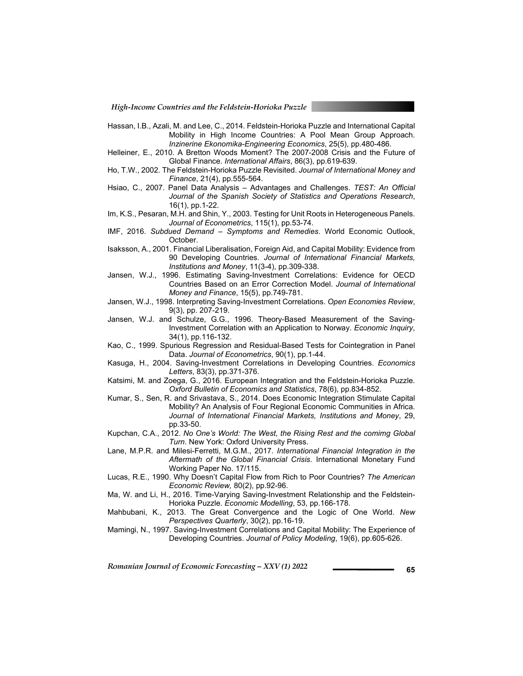- Hassan, I.B., Azali, M. and Lee, C., 2014. Feldstein-Horioka Puzzle and International Capital Mobility in High Income Countries: A Pool Mean Group Approach. *Inzinerine Ekonomika-Engineering Economics*, 25(5), pp.480-486.
- Helleiner, E., 2010. A Bretton Woods Moment? The 2007-2008 Crisis and the Future of Global Finance. *International Affairs*, 86(3), pp.619-639.
- Ho, T.W., 2002. The Feldstein-Horioka Puzzle Revisited. *Journal of International Money and Finance*, 21(4), pp.555-564.
- Hsiao, C., 2007. Panel Data Analysis Advantages and Challenges. *TEST: An Official Journal of the Spanish Society of Statistics and Operations Research*, 16(1), pp.1-22.
- Im, K.S., Pesaran, M.H. and Shin, Y., 2003. Testing for Unit Roots in Heterogeneous Panels. *Journal of Econometrics*, 115(1), pp.53-74.
- IMF, 2016. *Subdued Demand Symptoms and Remedies*. World Economic Outlook, October.
- Isaksson, A., 2001. Financial Liberalisation, Foreign Aid, and Capital Mobility: Evidence from 90 Developing Countries. *Journal of International Financial Markets, Institutions and Money*, 11(3-4), pp.309-338.
- Jansen, W.J., 1996. Estimating Saving-Investment Correlations: Evidence for OECD Countries Based on an Error Correction Model. *Journal of International Money and Finance*, 15(5), pp.749-781.
- Jansen, W.J., 1998. Interpreting Saving-Investment Correlations. *Open Economies Review*, 9(3), pp. 207-219.
- Jansen, W.J. and Schulze, G.G., 1996. Theory-Based Measurement of the Saving-Investment Correlation with an Application to Norway. *Economic Inquiry*, 34(1), pp.116-132.
- Kao, C., 1999. Spurious Regression and Residual-Based Tests for Cointegration in Panel Data. *Journal of Econometrics*, 90(1), pp.1-44.
- Kasuga, H., 2004. Saving-Investment Correlations in Developing Countries. *Economics Letters*, 83(3), pp.371-376.
- Katsimi, M. and Zoega, G., 2016. European Integration and the Feldstein-Horioka Puzzle. *Oxford Bulletin of Economics and Statistics*, 78(6), pp.834-852.
- Kumar, S., Sen, R. and Srivastava, S., 2014. Does Economic Integration Stimulate Capital Mobility? An Analysis of Four Regional Economic Communities in Africa. *Journal of International Financial Markets, Institutions and Money*, 29, pp.33-50.
- Kupchan, C.A., 2012. *No One's World: The West, the Rising Rest and the comimg Global Turn*. New York: Oxford University Press.
- Lane, M.P.R. and Milesi-Ferretti, M.G.M., 2017. *International Financial Integration in the Aftermath of the Global Financial Crisis*. International Monetary Fund Working Paper No. 17/115.
- Lucas, R.E., 1990. Why Doesn't Capital Flow from Rich to Poor Countries? *The American Economic Review,* 80(2), pp.92-96.
- Ma, W. and Li, H., 2016. Time-Varying Saving-Investment Relationship and the Feldstein-Horioka Puzzle. *Economic Modelling*, 53, pp.166-178.
- Mahbubani, K., 2013. The Great Convergence and the Logic of One World. *New Perspectives Quarterly*, 30(2), pp.16-19.
- Mamingi, N., 1997. Saving-Investment Correlations and Capital Mobility: The Experience of Developing Countries. *Journal of Policy Modeling*, 19(6), pp.605-626.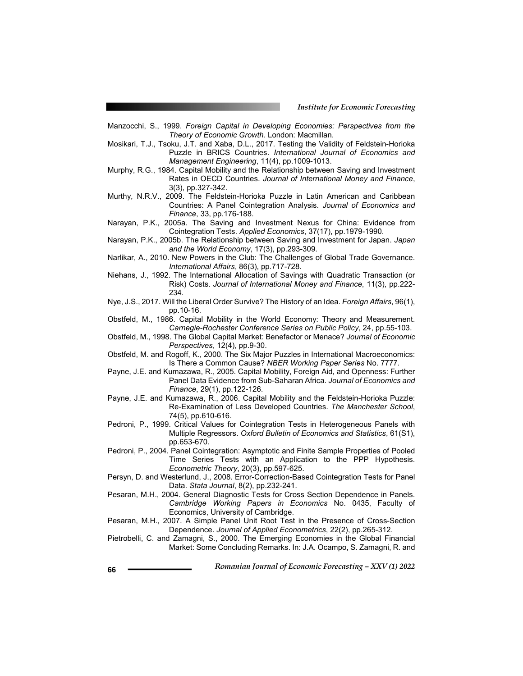- Manzocchi, S., 1999. *Foreign Capital in Developing Economies: Perspectives from the Theory of Economic Growth*. London: Macmillan.
- Mosikari, T.J., Tsoku, J.T. and Xaba, D.L., 2017. Testing the Validity of Feldstein-Horioka Puzzle in BRICS Countries. *International Journal of Economics and Management Engineering*, 11(4), pp.1009-1013.
- Murphy, R.G., 1984. Capital Mobility and the Relationship between Saving and Investment Rates in OECD Countries. *Journal of International Money and Finance*, 3(3), pp.327-342.
- Murthy, N.R.V., 2009. The Feldstein-Horioka Puzzle in Latin American and Caribbean Countries: A Panel Cointegration Analysis. *Journal of Economics and Finance*, 33, pp.176-188.
- Narayan, P.K., 2005a. The Saving and Investment Nexus for China: Evidence from Cointegration Tests. *Applied Economics*, 37(17), pp.1979-1990.
- Narayan, P.K., 2005b. The Relationship between Saving and Investment for Japan. *Japan and the World Economy*, 17(3), pp.293-309.
- Narlikar, A., 2010. New Powers in the Club: The Challenges of Global Trade Governance. *International Affairs*, 86(3), pp.717-728.
- Niehans, J., 1992. The International Allocation of Savings with Quadratic Transaction (or Risk) Costs. *Journal of International Money and Finance*, 11(3), pp.222- 234.
- Nye, J.S., 2017. Will the Liberal Order Survive? The History of an Idea. *Foreign Affairs*, 96(1), pp.10-16.
- Obstfeld, M., 1986. Capital Mobility in the World Economy: Theory and Measurement. *Carnegie-Rochester Conference Series on Public Policy*, 24, pp.55-103.
- Obstfeld, M., 1998. The Global Capital Market: Benefactor or Menace? *Journal of Economic Perspectives*, 12(4), pp.9-30.
- Obstfeld, M. and Rogoff, K., 2000. The Six Major Puzzles in International Macroeconomics: Is There a Common Cause? *NBER Working Paper Series* No. 7777.
- Payne, J.E. and Kumazawa, R., 2005. Capital Mobility, Foreign Aid, and Openness: Further Panel Data Evidence from Sub-Saharan Africa. *Journal of Economics and Finance*, 29(1), pp.122-126.
- Payne, J.E. and Kumazawa, R., 2006. Capital Mobility and the Feldstein-Horioka Puzzle: Re-Examination of Less Developed Countries. *The Manchester School*, 74(5), pp.610-616.
- Pedroni, P., 1999. Critical Values for Cointegration Tests in Heterogeneous Panels with Multiple Regressors. *Oxford Bulletin of Economics and Statistics*, 61(S1), pp.653-670.
- Pedroni, P., 2004. Panel Cointegration: Asymptotic and Finite Sample Properties of Pooled Time Series Tests with an Application to the PPP Hypothesis. *Econometric Theory*, 20(3), pp.597-625.
- Persyn, D. and Westerlund, J., 2008. Error-Correction-Based Cointegration Tests for Panel Data. *Stata Journal*, 8(2), pp.232-241.
- Pesaran, M.H., 2004. General Diagnostic Tests for Cross Section Dependence in Panels. *Cambridge Working Papers in Economics* No. 0435, Faculty of Economics, University of Cambridge.
- Pesaran, M.H., 2007. A Simple Panel Unit Root Test in the Presence of Cross-Section Dependence. *Journal of Applied Econometrics*, 22(2), pp.265-312.
- Pietrobelli, C. and Zamagni, S., 2000. The Emerging Economies in the Global Financial Market: Some Concluding Remarks. In: J.A. Ocampo, S. Zamagni, R. and